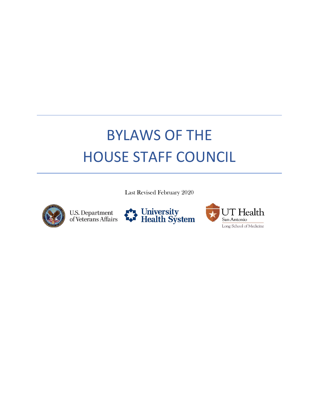# BYLAWS OF THE HOUSE STAFF COUNCIL

Last Revised February 2020



U.S. Department<br>of Veterans Affairs



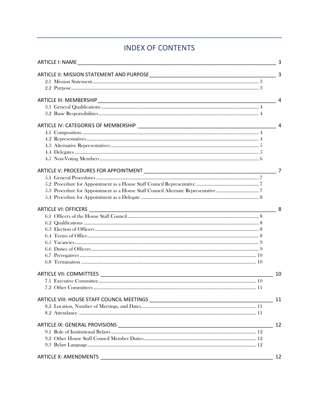# **INDEX OF CONTENTS**

|                              | 3              |
|------------------------------|----------------|
|                              | $\overline{3}$ |
|                              |                |
|                              |                |
|                              | $\overline{4}$ |
|                              |                |
|                              |                |
|                              | $\overline{4}$ |
|                              |                |
|                              |                |
|                              |                |
|                              |                |
|                              |                |
|                              | $\overline{7}$ |
|                              |                |
|                              |                |
|                              |                |
|                              |                |
|                              | 8              |
|                              |                |
|                              |                |
|                              |                |
|                              |                |
|                              |                |
|                              |                |
|                              |                |
|                              |                |
|                              | 10             |
|                              |                |
|                              |                |
|                              | 11             |
|                              |                |
|                              |                |
|                              | 12             |
|                              |                |
|                              |                |
|                              |                |
| <b>ARTICLE X: AMENDMENTS</b> | 12             |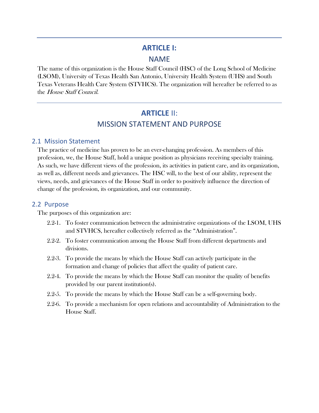#### <span id="page-2-0"></span>**ARTICLE I:**

#### NAME

<span id="page-2-1"></span>The name of this organization is the House Staff Council (HSC) of the Long School of Medicine (LSOM), University of Texas Health San Antonio, University Health System (UHS) and South Texas Veterans Health Care System (STVHCS). The organization will hereafter be referred to as the House Staff Council.

# **ARTICLE** II: MISSION STATEMENT AND PURPOSE

#### <span id="page-2-2"></span>2.1 Mission Statement

The practice of medicine has proven to be an ever-changing profession. As members of this profession, we, the House Staff, hold a unique position as physicians receiving specialty training. As such, we have different views of the profession, its activities in patient care, and its organization, as well as, different needs and grievances. The HSC will, to the best of our ability, represent the views, needs, and grievances of the House Staff in order to positively influence the direction of change of the profession, its organization, and our community.

#### <span id="page-2-3"></span>2.2 Purpose

The purposes of this organization are:

- 2.2-1. To foster communication between the administrative organizations of the LSOM, UHS and STVHCS, hereafter collectively referred as the "Administration".
- 2.2-2. To foster communication among the House Staff from different departments and divisions.
- 2.2-3. To provide the means by which the House Staff can actively participate in the formation and change of policies that affect the quality of patient care.
- 2.2-4. To provide the means by which the House Staff can monitor the quality of benefits provided by our parent institution(s).
- 2.2-5. To provide the means by which the House Staff can be a self-governing body.
- 2.2-6. To provide a mechanism for open relations and accountability of Administration to the House Staff.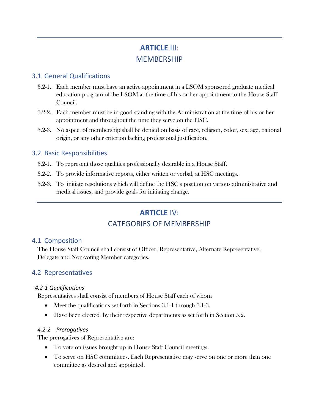# **ARTICLE** III: **MEMBERSHIP**

#### <span id="page-3-1"></span><span id="page-3-0"></span>3.1 General Qualifications

- 3.2-1. Each member must have an active appointment in a LSOM sponsored graduate medical education program of the LSOM at the time of his or her appointment to the House Staff Council.
- 3.2-2. Each member must be in good standing with the Administration at the time of his or her appointment and throughout the time they serve on the HSC.
- 3.2-3. No aspect of membership shall be denied on basis of race, religion, color, sex, age, national origin, or any other criterion lacking professional justification.

### <span id="page-3-2"></span>3.2 Basic Responsibilities

- 3.2-1. To represent those qualities professionally desirable in a House Staff.
- 3.2-2. To provide informative reports, either written or verbal, at HSC meetings.
- <span id="page-3-3"></span>3.2-3. To initiate resolutions which will define the HSC's position on various administrative and medical issues, and provide goals for initiating change.

# **ARTICLE** IV: CATEGORIES OF MEMBERSHIP

#### <span id="page-3-4"></span>4.1 Composition

The House Staff Council shall consist of Officer, Representative, Alternate Representative, Delegate and Non-voting Member categories.

## <span id="page-3-5"></span>4.2 Representatives

#### *4.2-1 Qualifications*

Representatives shall consist of members of House Staff each of whom

- Meet the qualifications set forth in Sections 3.1-1 through 3.1-3.
- Have been elected by their respective departments as set forth in Section 5.2.

#### *4.2-2 Prerogatives*

The prerogatives of Representative are:

- To vote on issues brought up in House Staff Council meetings.
- To serve on HSC committees. Each Representative may serve on one or more than one committee as desired and appointed.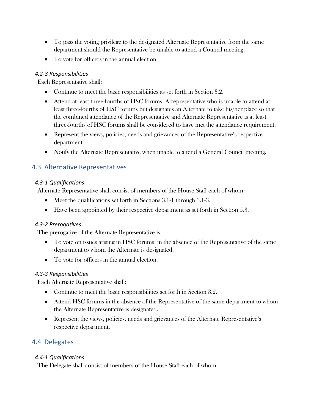- To pass the voting privilege to the designated Alternate Representative from the same department should the Representative be unable to attend a Council meeting.
- To vote for officers in the annual election.

#### *4.2-3 Responsibilities*

Each Representative shall:

- Continue to meet the basic responsibilities as set forth in Section 3.2.
- Attend at least three-fourths of HSC forums. A representative who is unable to attend at least three-fourths of HSC forums but designates an Alternate to take his/her place so that the combined attendance of the Representative and Alternate Representative is at least three-fourths of HSC forums shall be considered to have met the attendance requirement.
- Represent the views, policies, needs and grievances of the Representative's respective department.
- Notify the Alternate Representative when unable to attend a General Council meeting.

# <span id="page-4-0"></span>4.3 Alternative Representatives

#### *4.3-1 Qualifications*

Alternate Representative shall consist of members of the House Staff each of whom:

- Meet the qualifications set forth in Sections 3.1-1 through 3.1-3.
- Have been appointed by their respective department as set forth in Section 5.3.

#### *4.3-2 Prerogatives*

The prerogative of the Alternate Representative is:

- To vote on issues arising in HSC forums in the absence of the Representative of the same department to whom the Alternate is designated.
- To vote for officers in the annual election.

#### *4.3-3 Responsibilities*

Each Alternate Representative shall:

- Continue to meet the basic responsibilities set forth in Section 3.2.
- Attend HSC forums in the absence of the Representative of the same department to whom the Alternate Representative is designated.
- Represent the views, policies, needs and grievances of the Alternate Representative's respective department.

## <span id="page-4-1"></span>4.4 Delegates

#### *4.4-1 Qualifications*

The Delegate shall consist of members of the House Staff each of whom: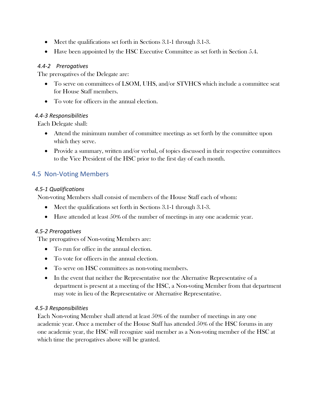- Meet the qualifications set forth in Sections 3.1-1 through 3.1-3.
- Have been appointed by the HSC Executive Committee as set forth in Section 5.4.

#### *4.4-2 Prerogatives*

The prerogatives of the Delegate are:

- To serve on committees of LSOM, UHS, and/or STVHCS which include a committee seat for House Staff members.
- To vote for officers in the annual election.

#### *4.4-3 Responsibilities*

Each Delegate shall:

- Attend the minimum number of committee meetings as set forth by the committee upon which they serve.
- Provide a summary, written and/or verbal, of topics discussed in their respective committees to the Vice President of the HSC prior to the first day of each month.

# <span id="page-5-0"></span>4.5 Non-Voting Members

#### *4.5-1 Qualifications*

Non-voting Members shall consist of members of the House Staff each of whom:

- Meet the qualifications set forth in Sections 3.1-1 through 3.1-3.
- Have attended at least 50% of the number of meetings in any one academic year.

#### *4.5-2 Prerogatives*

The prerogatives of Non-voting Members are:

- To run for office in the annual election.
- To vote for officers in the annual election.
- To serve on HSC committees as non-voting members.
- In the event that neither the Representative nor the Alternative Representative of a department is present at a meeting of the HSC, a Non-voting Member from that department may vote in lieu of the Representative or Alternative Representative.

#### *4.5-3 Responsibilities*

Each Non-voting Member shall attend at least 50% of the number of meetings in any one academic year. Once a member of the House Staff has attended 50% of the HSC forums in any one academic year, the HSC will recognize said member as a Non-voting member of the HSC at which time the prerogatives above will be granted.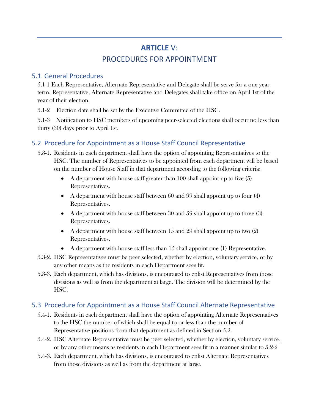# **ARTICLE** V: PROCEDURES FOR APPOINTMENT

## <span id="page-6-1"></span><span id="page-6-0"></span>5.1 General Procedures

5.1-1 Each Representative, Alternate Representative and Delegate shall be serve for a one year term. Representative, Alternate Representative and Delegates shall take office on April 1st of the year of their election.

5.1-2 Election date shall be set by the Executive Committee of the HSC.

5.1-3 Notification to HSC members of upcoming peer-selected elections shall occur no less than thirty (30) days prior to April 1st.

# <span id="page-6-2"></span>5.2 Procedure for Appointment as a House Staff Council Representative

- 5.3-1. Residents in each department shall have the option of appointing Representatives to the HSC. The number of Representatives to be appointed from each department will be based on the number of House Staff in that department according to the following criteria:
	- A department with house staff greater than  $100$  shall appoint up to five  $(5)$ Representatives.
	- A department with house staff between 60 and 99 shall appoint up to four (4) Representatives.
	- A department with house staff between 30 and 59 shall appoint up to three (3) Representatives.
	- A department with house staff between 15 and 29 shall appoint up to two  $(2)$ Representatives.
	- A department with house staff less than 15 shall appoint one (1) Representative.
- 5.3-2. HSC Representatives must be peer selected, whether by election, voluntary service, or by any other means as the residents in each Department sees fit.
- 5.3-3. Each department, which has divisions, is encouraged to enlist Representatives from those divisions as well as from the department at large. The division will be determined by the HSC.

## <span id="page-6-3"></span>5.3 Procedure for Appointment as a House Staff Council Alternate Representative

- 5.4-1. Residents in each department shall have the option of appointing Alternate Representatives to the HSC the number of which shall be equal to or less than the number of Representative positions from that department as defined in Section 5.2.
- 5.4-2. HSC Alternate Representative must be peer selected, whether by election, voluntary service, or by any other means as residents in each Department sees fit in a manner similar to 5.2-2
- 5.4-3. Each department, which has divisions, is encouraged to enlist Alternate Representatives from those divisions as well as from the department at large.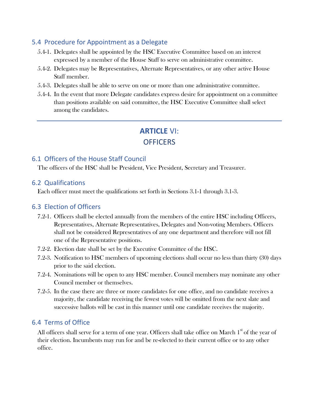#### <span id="page-7-0"></span>5.4 Procedure for Appointment as a Delegate

- 5.4-1. Delegates shall be appointed by the HSC Executive Committee based on an interest expressed by a member of the House Staff to serve on administrative committee.
- 5.4-2. Delegates may be Representatives, Alternate Representatives, or any other active House Staff member.
- 5.4-3. Delegates shall be able to serve on one or more than one administrative committee.
- <span id="page-7-1"></span>5.4-4. In the event that more Delegate candidates express desire for appointment on a committee than positions available on said committee, the HSC Executive Committee shall select among the candidates.

# **ARTICLE** VI: **OFFICERS**

## <span id="page-7-2"></span>6.1 Officers of the House Staff Council

The officers of the HSC shall be President, Vice President, Secretary and Treasurer.

#### <span id="page-7-3"></span>6.2 Qualifications

Each officer must meet the qualifications set forth in Sections 3.1-1 through 3.1-3.

#### <span id="page-7-4"></span>6.3 Election of Officers

- 7.2-1. Officers shall be elected annually from the members of the entire HSC including Officers, Representatives, Alternate Representatives, Delegates and Non-voting Members. Officers shall not be considered Representatives of any one department and therefore will not fill one of the Representative positions.
- 7.2-2. Election date shall be set by the Executive Committee of the HSC.
- 7.2-3. Notification to HSC members of upcoming elections shall occur no less than thirty (30) days prior to the said election.
- 7.2-4. Nominations will be open to any HSC member. Council members may nominate any other Council member or themselves.
- 7.2-5. In the case there are three or more candidates for one office, and no candidate receives a majority, the candidate receiving the fewest votes will be omitted from the next slate and successive ballots will be cast in this manner until one candidate receives the majority.

#### <span id="page-7-5"></span>6.4 Terms of Office

All officers shall serve for a term of one year. Officers shall take office on March  $1<sup>st</sup>$  of the year of their election. Incumbents may run for and be re-elected to their current office or to any other office.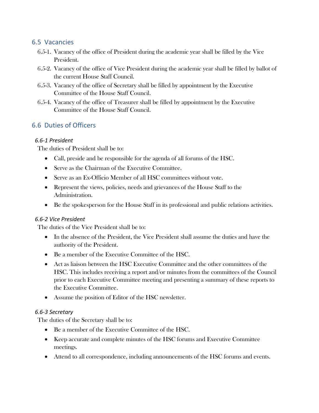#### <span id="page-8-0"></span>6.5 Vacancies

- 6.5-1. Vacancy of the office of President during the academic year shall be filled by the Vice President.
- 6.5-2. Vacancy of the office of Vice President during the academic year shall be filled by ballot of the current House Staff Council.
- 6.5-3. Vacancy of the office of Secretary shall be filled by appointment by the Executive Committee of the House Staff Council.
- 6.5-4. Vacancy of the office of Treasurer shall be filled by appointment by the Executive Committee of the House Staff Council.

## <span id="page-8-1"></span>6.6 Duties of Officers

#### *6.6-1 President*

The duties of President shall be to:

- Call, preside and be responsible for the agenda of all forums of the HSC.
- Serve as the Chairman of the Executive Committee.
- Serve as an Ex-Officio Member of all HSC committees without vote.
- Represent the views, policies, needs and grievances of the House Staff to the Administration.
- Be the spokesperson for the House Staff in its professional and public relations activities.

#### *6.6-2 Vice President*

The duties of the Vice President shall be to:

- In the absence of the President, the Vice President shall assume the duties and have the authority of the President.
- Be a member of the Executive Committee of the HSC.
- Act as liaison between the HSC Executive Committee and the other committees of the HSC. This includes receiving a report and/or minutes from the committees of the Council prior to each Executive Committee meeting and presenting a summary of these reports to the Executive Committee.
- Assume the position of Editor of the HSC newsletter.

#### *6.6-3 Secretary*

The duties of the Secretary shall be to:

- Be a member of the Executive Committee of the HSC.
- Keep accurate and complete minutes of the HSC forums and Executive Committee meetings.
- Attend to all correspondence, including announcements of the HSC forums and events.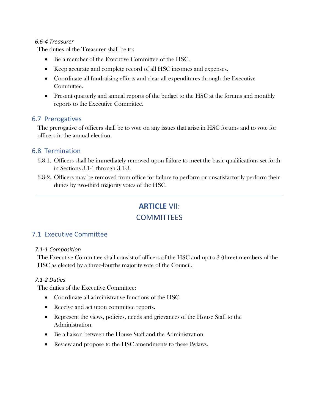#### *6.6-4 Treasurer*

The duties of the Treasurer shall be to:

- Be a member of the Executive Committee of the HSC.
- Keep accurate and complete record of all HSC incomes and expenses.
- Coordinate all fundraising efforts and clear all expenditures through the Executive Committee.
- Present quarterly and annual reports of the budget to the HSC at the forums and monthly reports to the Executive Committee.

#### <span id="page-9-0"></span>6.7 Prerogatives

The prerogative of officers shall be to vote on any issues that arise in HSC forums and to vote for officers in the annual election.

#### <span id="page-9-1"></span>6.8 Termination

- 6.8-1. Officers shall be immediately removed upon failure to meet the basic qualifications set forth in Sections 3.1-1 through 3.1-3.
- <span id="page-9-2"></span>6.8-2. Officers may be removed from office for failure to perform or unsatisfactorily perform their duties by two-third majority votes of the HSC.

## **ARTICLE** VII:

## **COMMITTEES**

#### <span id="page-9-3"></span>7.1 Executive Committee

#### *7.1-1 Composition*

The Executive Committee shall consist of officers of the HSC and up to 3 (three) members of the HSC as elected by a three-fourths majority vote of the Council.

#### *7.1-2 Duties*

The duties of the Executive Committee:

- Coordinate all administrative functions of the HSC.
- Receive and act upon committee reports.
- Represent the views, policies, needs and grievances of the House Staff to the Administration.
- Be a liaison between the House Staff and the Administration.
- Review and propose to the HSC amendments to these Bylaws.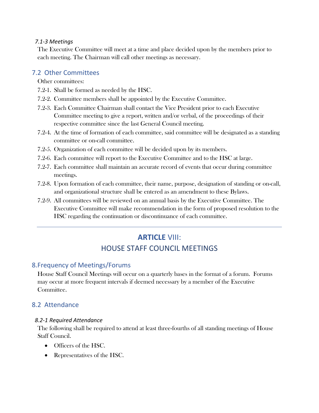#### *7.1-3 Meetings*

The Executive Committee will meet at a time and place decided upon by the members prior to each meeting. The Chairman will call other meetings as necessary.

#### <span id="page-10-0"></span>7.2 Other Committees

Other committees:

- 7.2-1. Shall be formed as needed by the HSC.
- 7.2-2. Committee members shall be appointed by the Executive Committee.
- 7.2-3. Each Committee Chairman shall contact the Vice President prior to each Executive Committee meeting to give a report, written and/or verbal, of the proceedings of their respective committee since the last General Council meeting.
- 7.2-4. At the time of formation of each committee, said committee will be designated as a standing committee or on-call committee.
- 7.2-5. Organization of each committee will be decided upon by its members.
- 7.2-6. Each committee will report to the Executive Committee and to the HSC at large.
- 7.2-7. Each committee shall maintain an accurate record of events that occur during committee meetings.
- 7.2-8. Upon formation of each committee, their name, purpose, designation of standing or on-call, and organizational structure shall be entered as an amendment to these Bylaws.
- <span id="page-10-1"></span>7.2-9. All committees will be reviewed on an annual basis by the Executive Committee. The Executive Committee will make recommendation in the form of proposed resolution to the HSC regarding the continuation or discontinuance of each committee.

# **ARTICLE** VIII: HOUSE STAFF COUNCIL MEETINGS

#### <span id="page-10-2"></span>8.Frequency of Meetings/Forums

House Staff Council Meetings will occur on a quarterly bases in the format of a forum. Forums may occur at more frequent intervals if deemed necessary by a member of the Executive Committee.

#### <span id="page-10-3"></span>8.2 Attendance

#### *8.2-1 Required Attendance*

The following shall be required to attend at least three-fourths of all standing meetings of House Staff Council.

- Officers of the HSC.
- Representatives of the HSC.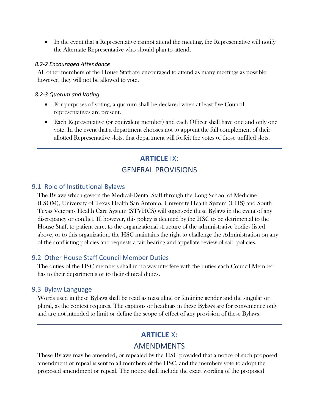• In the event that a Representative cannot attend the meeting, the Representative will notify the Alternate Representative who should plan to attend.

#### *8.2-2 Encouraged Attendance*

All other members of the House Staff are encouraged to attend as many meetings as possible; however, they will not be allowed to vote.

#### *8.2-3 Quorum and Voting*

- For purposes of voting, a quorum shall be declared when at least five Council representatives are present.
- <span id="page-11-0"></span>• Each Representative (or equivalent member) and each Officer shall have one and only one vote. In the event that a department chooses not to appoint the full complement of their allotted Representative slots, that department will forfeit the votes of those unfilled slots.

# **ARTICLE** IX: GENERAL PROVISIONS

#### <span id="page-11-1"></span>9.1 Role of Institutional Bylaws

The Bylaws which govern the Medical-Dental Staff through the Long School of Medicine (LSOM), University of Texas Health San Antonio, University Health System (UHS) and South Texas Veterans Health Care System (STVHCS) will supersede these Bylaws in the event of any discrepancy or conflict. If, however, this policy is deemed by the HSC to be detrimental to the House Staff, to patient care, to the organizational structure of the administrative bodies listed above, or to this organization, the HSC maintains the right to challenge the Administration on any of the conflicting policies and requests a fair hearing and appellate review of said policies.

#### <span id="page-11-2"></span>9.2 Other House Staff Council Member Duties

The duties of the HSC members shall in no way interfere with the duties each Council Member has to their departments or to their clinical duties.

#### <span id="page-11-3"></span>9.3 Bylaw Language

<span id="page-11-4"></span>Words used in these Bylaws shall be read as masculine or feminine gender and the singular or plural, as the context requires. The captions or headings in these Bylaws are for convenience only and are not intended to limit or define the scope of effect of any provision of these Bylaws.

# **ARTICLE** X: AMENDMENTS

These Bylaws may be amended, or repealed by the HSC provided that a notice of such proposed amendment or repeal is sent to all members of the HSC, and the members vote to adopt the proposed amendment or repeal. The notice shall include the exact wording of the proposed